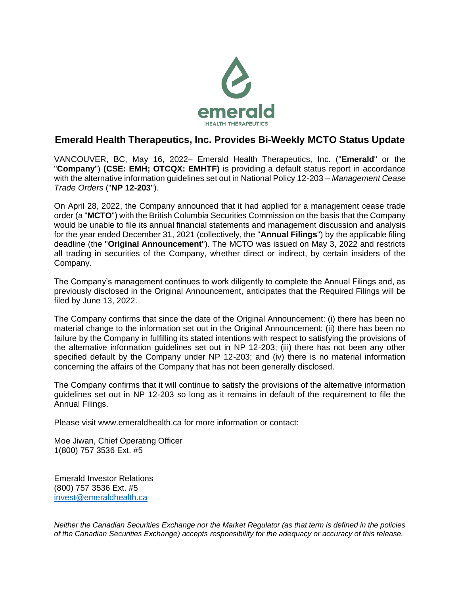

## **Emerald Health Therapeutics, Inc. Provides Bi-Weekly MCTO Status Update**

VANCOUVER, BC, May 16**,** 2022– Emerald Health Therapeutics, Inc. ("**Emerald**" or the "**Company**") **(CSE: EMH; OTCQX: EMHTF)** is providing a default status report in accordance with the alternative information guidelines set out in National Policy 12-203 – *Management Cease Trade Orders* ("**NP 12-203**").

On April 28, 2022, the Company announced that it had applied for a management cease trade order (a "**MCTO**") with the British Columbia Securities Commission on the basis that the Company would be unable to file its annual financial statements and management discussion and analysis for the year ended December 31, 2021 (collectively, the "**Annual Filings**") by the applicable filing deadline (the "**Original Announcement**"). The MCTO was issued on May 3, 2022 and restricts all trading in securities of the Company, whether direct or indirect, by certain insiders of the Company.

The Company's management continues to work diligently to complete the Annual Filings and, as previously disclosed in the Original Announcement, anticipates that the Required Filings will be filed by June 13, 2022.

The Company confirms that since the date of the Original Announcement: (i) there has been no material change to the information set out in the Original Announcement; (ii) there has been no failure by the Company in fulfilling its stated intentions with respect to satisfying the provisions of the alternative information guidelines set out in NP 12-203; (iii) there has not been any other specified default by the Company under NP 12-203; and (iv) there is no material information concerning the affairs of the Company that has not been generally disclosed.

The Company confirms that it will continue to satisfy the provisions of the alternative information guidelines set out in NP 12-203 so long as it remains in default of the requirement to file the Annual Filings.

Please visit www.emeraldhealth.ca for more information or contact:

Moe Jiwan, Chief Operating Officer 1(800) 757 3536 Ext. #5

Emerald Investor Relations (800) 757 3536 Ext. #5 [invest@emeraldhealth.ca](mailto:invest@emeraldhealth.ca)

*Neither the Canadian Securities Exchange nor the Market Regulator (as that term is defined in the policies of the Canadian Securities Exchange) accepts responsibility for the adequacy or accuracy of this release.*